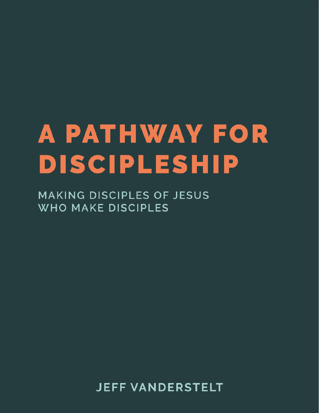# **A PATHWAY FOR DISCIPLESHIP**

**MAKING DISCIPLES OF JESUS WHO MAKE DISCIPLES** 

**JEFF VANDERSTELT**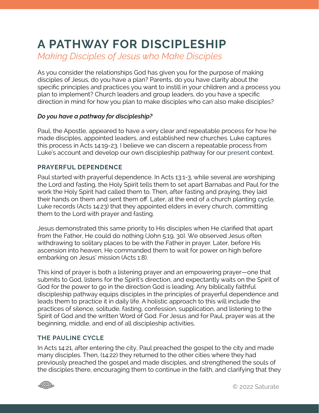# **A PATHWAY FOR DISCIPLESHIP**

*Making Disciples of Jesus who Make Disciples*

As you consider the relationships God has given you for the purpose of making disciples of Jesus, do you have a plan? Parents, do you have clarity about the specific principles and practices you want to instill in your children and a process you plan to implement? Church leaders and group leaders, do you have a specific direction in mind for how you plan to make disciples who can also make disciples?

# *Do you have a pathway for discipleship?*

Paul, the Apostle, appeared to have a very clear and repeatable process for how he made disciples, appointed leaders, and established new churches. Luke captures this process in Acts 14:19-23. I believe we can discern a repeatable process from Luke's account and develop our own discipleship pathway for our present context.

# **PRAYERFUL DEPENDENCE**

Paul started with prayerful dependence. In Acts 13:1-3, while several are worshiping the Lord and fasting, the Holy Spirit tells them to set apart Barnabas and Paul for the work the Holy Spirit had called them to. Then, after fasting and praying, they laid their hands on them and sent them off. Later, at the end of a church planting cycle, Luke records (Acts 14:23) that they appointed elders in every church, committing them to the Lord with prayer and fasting.

Jesus demonstrated this same priority to His disciples when He clarified that apart from the Father, He could do nothing (John 5:19, 30). We observed Jesus often withdrawing to solitary places to be with the Father in prayer. Later, before His ascension into heaven, He commanded them to wait for power on high before embarking on Jesus' mission (Acts 1:8).

This kind of prayer is both a listening prayer and an empowering prayer—one that submits to God, listens for the Spirit's direction, and expectantly waits on the Spirit of God for the power to go in the direction God is leading. Any biblically faithful discipleship pathway equips disciples in the principles of prayerful dependence and leads them to practice it in daily life. A holistic approach to this will include the practices of silence, solitude, fasting, confession, supplication, and listening to the Spirit of God and the written Word of God. For Jesus and for Paul, prayer was at the beginning, middle, and end of all discipleship activities.

# **THE PAULINE CYCLE**

In Acts 14:21, after entering the city, Paul preached the gospel to the city and made many disciples. Then, (14:22) they returned to the other cities where they had previously preached the gospel and made disciples, and strengthened the souls of the disciples there, encouraging them to continue in the faith, and clarifying that they

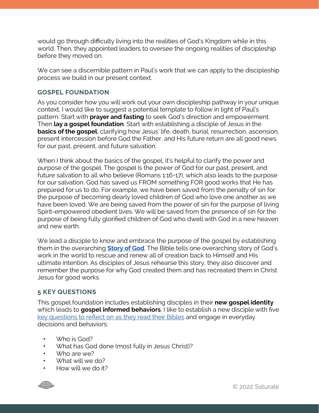would go through difficulty living into the realities of God's Kingdom while in this world. Then, they appointed leaders to oversee the ongoing realities of discipleship before they moved on.

We can see a discernible pattern in Paul's work that we can apply to the discipleship process we build in our present context.

# **GOSPEL FOUNDATION**

As you consider how you will work out your own discipleship pathway in your unique context, I would like to suggest a potential template to follow in light of Paul's pattern. Start with **prayer and fasting** to seek God's direction and empowerment. Then **lay a gospel foundation**. Start with establishing a disciple of Jesus in the **basics of the gospel**, clarifying how Jesus' life, death, burial, resurrection, ascension, present intercession before God the Father, and His future return are all good news for our past, present, and future salvation.

When I think about the basics of the gospel, it's helpful to clarify the power and purpose of the gospel. The gospel is the power of God for our past, present, and future salvation to all who believe (Romans 1:16-17), which also leads to the purpose for our salvation. God has saved us FROM something FOR good works that He has prepared for us to do. For example, we have been saved from the penalty of sin for the purpose of becoming dearly loved children of God who love one another as we have been loved. We are being saved from the power of sin for the purpose of living Spirit-empowered obedient lives. We will be saved from the presence of sin for the purpose of being fully glorified children of God who dwell with God in a new heaven and new earth.

We lead a disciple to know and embrace the purpose of the gospel by establishing them in the overarching **[Story of God](https://saturatetheworld.com/storyofgod/)**. The Bible tells one overarching story of God's work in the world to rescue and renew all of creation back to Himself and His ultimate intention. As disciples of Jesus rehearse this story, they also discover and remember the purpose for why God created them and has recreated them in Christ Jesus for good works.

# **5 KEY QUESTIONS**

This gospel foundation includes establishing disciples in their **new gospel identity**  which leads to **gospel informed behaviors**. I like to establish a new disciple with five key questions to refl[ect on as they read their Bibles](https://saturatetheworld.com/wp-content/uploads/2017/05/Studying-the-Bible.pdf) and engage in everyday decisions and behaviors:

- Who is God?
- What has God done (most fully in Jesus Christ)?
- Who are we?
- What will we do?
- How will we do it?

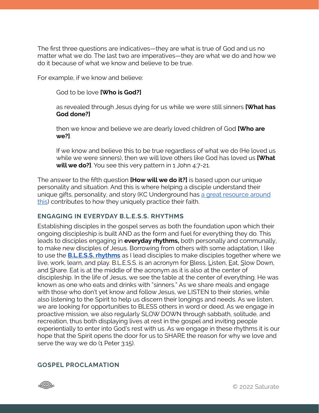The first three questions are indicatives—they are what is true of God and us no matter what we do. The last two are imperatives—they are what we do and how we do it because of what we know and believe to be true.

For example, if we know and believe:

#### God to be love **[Who is God?]**

as revealed through Jesus dying for us while we were still sinners **[What has God done?]**

then we know and believe we are dearly loved children of God **[Who are we?]**.

If we know and believe this to be true regardless of what we do (He loved us while we were sinners), then we will love others like God has loved us **[What will we do?]**. You see this very pattern in 1 John 4:7-21.

The answer to the fifth question **[How will we do it?]** is based upon our unique personality and situation. And this is where helping a disciple understand their unique gifts, personality, and story (KC Underground has a great resource around [this](https://www.kcunderground.org/made-for-more-purpose)) contributes to how they uniquely practice their faith.

#### **ENGAGING IN EVERYDAY B.L.E.S.S. RHYTHMS**

Establishing disciples in the gospel serves as both the foundation upon which their ongoing discipleship is built AND as the form and fuel for everything they do. This leads to disciples engaging in **everyday rhythms,** both personally and communally, to make new disciples of Jesus. Borrowing from others with some adaptation, I like to use the **[B.L.E.S.S. rhythms](https://saturatetheworld.com/wp-content/uploads/2019/05/Bless5.2final.pdf)** as I lead disciples to make disciples together where we live, work, learn, and play. B.L.E.S.S. is an acronym for **Bless**, Listen, Eat, Slow Down, and Share. Eat is at the middle of the acronym as it is also at the center of discipleship. In the life of Jesus, we see the table at the center of everything. He was known as one who eats and drinks with "sinners." As we share meals and engage with those who don't yet know and follow Jesus, we LISTEN to their stories, while also listening to the Spirit to help us discern their longings and needs. As we listen, we are looking for opportunities to BLESS others in word or deed. As we engage in proactive mission, we also regularly SLOW DOWN through sabbath, solitude, and recreation, thus both displaying lives at rest in the gospel and inviting people experientially to enter into God's rest with us. As we engage in these rhythms it is our hope that the Spirit opens the door for us to SHARE the reason for why we love and serve the way we do (1 Peter 3:15).

#### **GOSPEL PROCLAMATION**

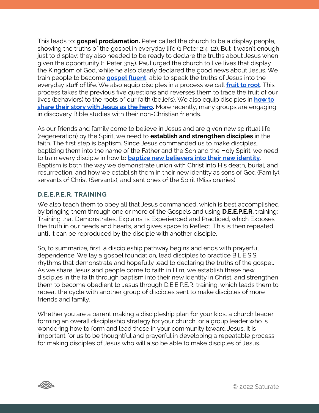This leads to: **gospel proclamation.** Peter called the church to be a display people, showing the truths of the gospel in everyday life (1 Peter 2:4-12). But it wasn't enough just to display; they also needed to be ready to declare the truths about Jesus when given the opportunity (1 Peter 3:15). Paul urged the church to live lives that display the Kingdom of God, while he also clearly declared the good news about Jesus. We train people to become **[gospel](https://saturatetheworld.com/growing-in-gospel-fluency/) fluent**, able to speak the truths of Jesus into the everyday stuff of life. We also equip disciples in a process we call **[fruit to root](https://saturatetheworld.com/wp-content/uploads/2017/03/Fruit-to-Root-Exercise-1.pdf)**. This process takes the previous five questions and reverses them to trace the fruit of our lives (behaviors) to the roots of our faith (beliefs). We also equip disciples in **[how to](https://saturatetheworld.com/wp-content/uploads/2016/06/How-to-Share-Your-Story-V1.pdf)  [share their story with Jesus as the hero](https://saturatetheworld.com/wp-content/uploads/2016/06/How-to-Share-Your-Story-V1.pdf).** More recently, many groups are engaging in discovery Bible studies with their non-Christian friends.

As our friends and family come to believe in Jesus and are given new spiritual life (regeneration) by the Spirit, we need to **establish and strengthen disciples** in the faith. The first step is baptism. Since Jesus commanded us to make disciples, baptizing them into the name of the Father and the Son and the Holy Spirit, we need to train every disciple in how to **[baptize new believers into their new identity](https://saturatetheworld.com/resource/church-is-more/baptismal-identity/)**. Baptism is both the way we demonstrate union with Christ into His death, burial, and resurrection, and how we establish them in their new identity as sons of God (Family), servants of Christ (Servants), and sent ones of the Spirit (Missionaries).

#### **D.E.E.P.E.R. TRAINING**

We also teach them to obey all that Jesus commanded, which is best accomplished by bringing them through one or more of the Gospels and using **D.E.E.P.E.R.** training: Training that Demonstrates, Explains, is Experienced and Practiced, which Exposes the truth in our heads and hearts, and gives space to Reflect. This is then repeated until it can be reproduced by the disciple with another disciple.

So, to summarize, first, a discipleship pathway begins and ends with prayerful dependence. We lay a gospel foundation, lead disciples to practice B.L.E.S.S. rhythms that demonstrate and hopefully lead to declaring the truths of the gospel. As we share Jesus and people come to faith in Him, we establish these new disciples in the faith through baptism into their new identity in Christ, and strengthen them to become obedient to Jesus through D.E.E.P.E.R. training, which leads them to repeat the cycle with another group of disciples sent to make disciples of more friends and family.

Whether you are a parent making a discipleship plan for your kids, a church leader forming an overall discipleship strategy for your church, or a group leader who is wondering how to form and lead those in your community toward Jesus, it is important for us to be thoughtful and prayerful in developing a repeatable process for making disciples of Jesus who will also be able to make disciples of Jesus.